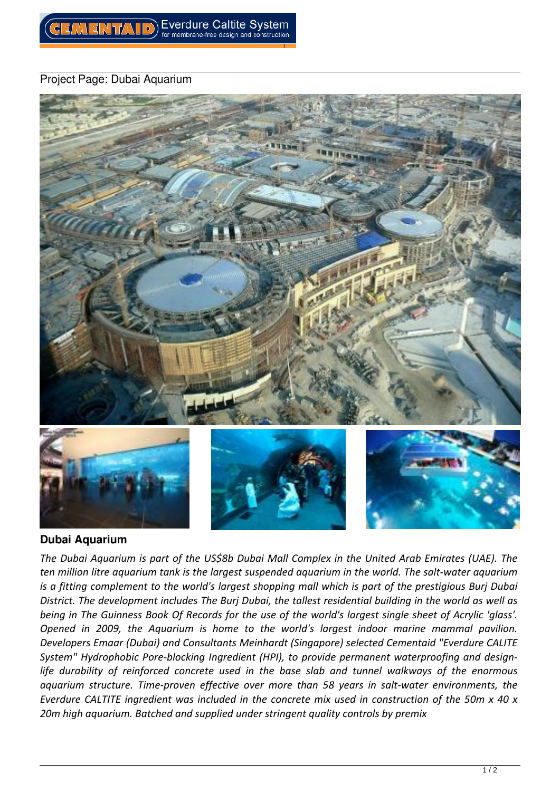## *Project Page: Dubai Aquarium*



## **Dubai Aquarium**

*The Dubai Aquarium is part of the US\$8b Dubai Mall Complex in the United Arab Emirates (UAE). The ten million litre aquarium tank is the largest suspended aquarium in the world. The salt-water aquarium is a fitting complement to the world's largest shopping mall which is part of the prestigious Burj Dubai District. The development includes The Burj Dubai, the tallest residential building in the world as well as being in The Guinness Book Of Records for the use of the world's largest single sheet of Acrylic 'glass'. Opened in 2009, the Aquarium is home to the world's largest indoor marine mammal pavilion. Developers Emaar (Dubai) and Consultants Meinhardt (Singapore) selected Cementaid "Everdure CALITE System" Hydrophobic Pore-blocking Ingredient (HPI), to provide permanent waterproofing and designlife durability of reinforced concrete used in the base slab and tunnel walkways of the enormous aquarium structure. Time-proven effective over more than 58 years in salt-water environments, the Everdure CALTITE ingredient was included in the concrete mix used in construction of the 50m x 40 x 20m high aquarium. Batched and supplied under stringent quality controls by premix*